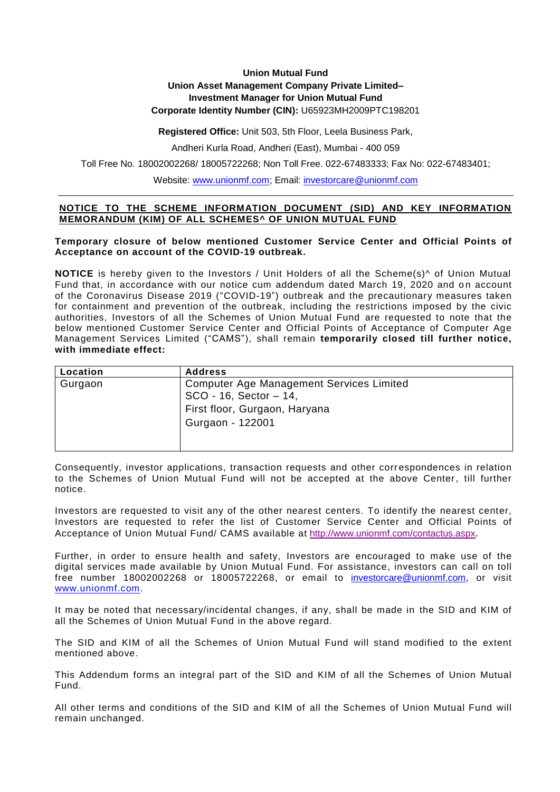# **Union Mutual Fund**

## **Union Asset Management Company Private Limited–**

## **Investment Manager for Union Mutual Fund**

**Corporate Identity Number (CIN):** U65923MH2009PTC198201

#### **Registered Office:** Unit 503, 5th Floor, Leela Business Park,

Andheri Kurla Road, Andheri (East), Mumbai - 400 059

Toll Free No. 18002002268/ 18005722268; Non Toll Free. 022-67483333; Fax No: 022-67483401;

Website: [www.unionmf.com;](http://www.unionmf.com/) Email: [investorcare@unionmf.com](mailto:investorcare@unionmf.com)

## **NOTICE TO THE SCHEME INFORMATION DOCUMENT (SID) AND KEY INFORMATION MEMORANDUM (KIM) OF ALL SCHEMES^ OF UNION MUTUAL FUND**

#### **Temporary closure of below mentioned Customer Service Center and Official Points of Acceptance on account of the COVID-19 outbreak.**

**NOTICE** is hereby given to the Investors / Unit Holders of all the Scheme(s)<sup>^</sup> of Union Mutual Fund that, in accordance with our notice cum addendum dated March 19, 2020 and on account of the Coronavirus Disease 2019 ("COVID-19") outbreak and the precautionary measures taken for containment and prevention of the outbreak, including the restrictions imposed by the civic authorities, Investors of all the Schemes of Union Mutual Fund are requested to note that the below mentioned Customer Service Center and Official Points of Acceptance of Computer Age Management Services Limited ("CAMS"), shall remain **temporarily closed till further notice, with immediate effect:**

| Location | <b>Address</b>                           |
|----------|------------------------------------------|
| Gurgaon  | Computer Age Management Services Limited |
|          | SCO - 16, Sector - 14,                   |
|          | First floor, Gurgaon, Haryana            |
|          | Gurgaon - 122001                         |
|          |                                          |
|          |                                          |

Consequently, investor applications, transaction requests and other corr espondences in relation to the Schemes of Union Mutual Fund will not be accepted at the above Center, till further notice.

Investors are requested to visit any of the other nearest centers. To identify the nearest center, Investors are requested to refer the list of Customer Service Center and Official Points of Acceptance of Union Mutual Fund/ CAMS available at <http://www.unionmf.com/contactus.aspx>.

Further, in order to ensure health and safety, Investors are encouraged to make use of the digital services made available by Union Mutual Fund. For assistance, investors can call on toll free number [18002002268](tel:18002002268) or [18005722268,](tel:18005722268) or email to [investorcare@unionmf.com,](mailto:investorcare@unionmf.com) or visit [www.unionmf.com.](http://www.unionmf.com/)

It may be noted that necessary/incidental changes, if any, shall be made in the SID and KIM of all the Schemes of Union Mutual Fund in the above regard.

The SID and KIM of all the Schemes of Union Mutual Fund will stand modified to the extent mentioned above.

This Addendum forms an integral part of the SID and KIM of all the Schemes of Union Mutual Fund.

All other terms and conditions of the SID and KIM of all the Schemes of Union Mutual Fund will remain unchanged.